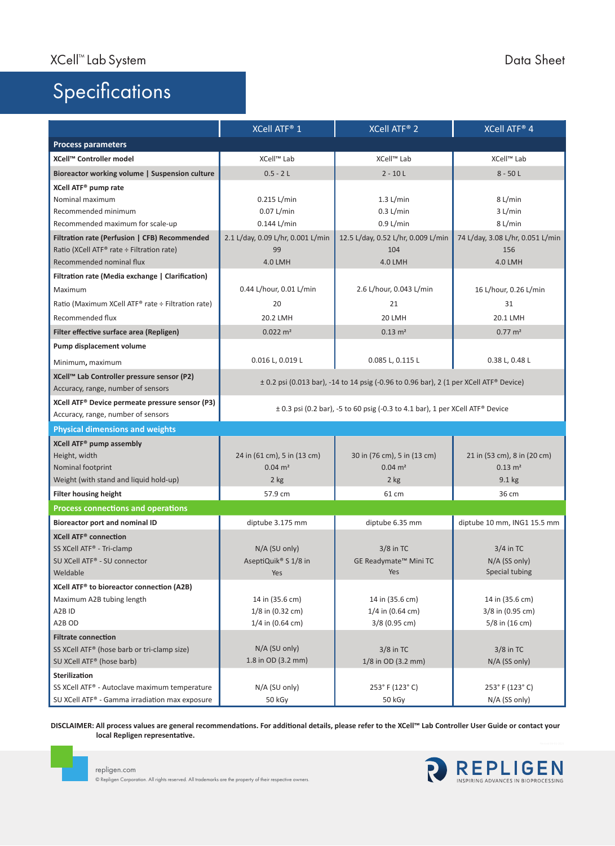## **Specifications**

|                                                             | XCell ATF® 1                                                                               | XCell ATF® 2                       | XCell ATF® 4                     |
|-------------------------------------------------------------|--------------------------------------------------------------------------------------------|------------------------------------|----------------------------------|
| <b>Process parameters</b>                                   |                                                                                            |                                    |                                  |
| XCell™ Controller model                                     | XCell™ Lab                                                                                 | XCell™ Lab                         | XCell™ Lab                       |
| Bioreactor working volume   Suspension culture              | $0.5 - 2L$                                                                                 | $2 - 10 L$                         | $8 - 50L$                        |
| XCell ATF <sup>®</sup> pump rate                            |                                                                                            |                                    |                                  |
| Nominal maximum                                             | 0.215 L/min                                                                                | $1.3$ L/min                        | 8 L/min                          |
| Recommended minimum                                         | $0.07$ L/min                                                                               | $0.3$ L/min                        | $3$ L/min                        |
| Recommended maximum for scale-up                            | 0.144 L/min                                                                                | 0.9 L/min                          | 8 L/min                          |
| Filtration rate (Perfusion   CFB) Recommended               | 2.1 L/day, 0.09 L/hr, 0.001 L/min                                                          | 12.5 L/day, 0.52 L/hr, 0.009 L/min | 74 L/day, 3.08 L/hr, 0.051 L/min |
| Ratio (XCell ATF® rate ÷ Filtration rate)                   | 99                                                                                         | 104                                | 156                              |
| Recommended nominal flux                                    | <b>4.0 LMH</b>                                                                             | <b>4.0 LMH</b>                     | <b>4.0 LMH</b>                   |
| Filtration rate (Media exchange   Clarification)            |                                                                                            |                                    |                                  |
| Maximum                                                     | 0.44 L/hour, 0.01 L/min                                                                    | 2.6 L/hour, 0.043 L/min            | 16 L/hour, 0.26 L/min            |
| Ratio (Maximum XCell ATF® rate ÷ Filtration rate)           | 20                                                                                         | 21                                 | 31                               |
| Recommended flux                                            | 20.2 LMH                                                                                   | 20 LMH                             | 20.1 LMH                         |
| Filter effective surface area (Repligen)                    | $0.022 \; \text{m}^2$                                                                      | $0.13 \; \text{m}^2$               | $0.77 \text{ m}^2$               |
| Pump displacement volume                                    |                                                                                            |                                    |                                  |
| Minimum, maximum                                            | 0.016 L, 0.019 L                                                                           | 0.085 L, 0.115 L                   | 0.38 L, 0.48 L                   |
| XCell™ Lab Controller pressure sensor (P2)                  |                                                                                            |                                    |                                  |
| Accuracy, range, number of sensors                          | $\pm$ 0.2 psi (0.013 bar), -14 to 14 psig (-0.96 to 0.96 bar), 2 (1 per XCell ATF® Device) |                                    |                                  |
| XCell ATF <sup>®</sup> Device permeate pressure sensor (P3) | $\pm$ 0.3 psi (0.2 bar), -5 to 60 psig (-0.3 to 4.1 bar), 1 per XCell ATF® Device          |                                    |                                  |
| Accuracy, range, number of sensors                          |                                                                                            |                                    |                                  |
| <b>Physical dimensions and weights</b>                      |                                                                                            |                                    |                                  |
| XCell ATF <sup>®</sup> pump assembly                        |                                                                                            |                                    |                                  |
| Height, width                                               | 24 in (61 cm), 5 in (13 cm)                                                                | 30 in (76 cm), 5 in (13 cm)        | 21 in (53 cm), 8 in (20 cm)      |
| Nominal footprint                                           | $0.04 \, \text{m}^2$                                                                       | $0.04 \, \text{m}^2$               | $0.13 \, \text{m}^2$             |
| Weight (with stand and liquid hold-up)                      | $2$ kg                                                                                     | 2 kg                               | $9.1$ kg                         |
| <b>Filter housing height</b>                                | 57.9 cm                                                                                    | 61 cm                              | 36 cm                            |
| <b>Process connections and operations</b>                   |                                                                                            |                                    |                                  |
| <b>Bioreactor port and nominal ID</b>                       | diptube 3.175 mm                                                                           | diptube 6.35 mm                    | diptube 10 mm, ING1 15.5 mm      |
| <b>XCell ATF<sup>®</sup> connection</b>                     |                                                                                            |                                    |                                  |
| SS XCell ATF® - Tri-clamp                                   | N/A (SU only)                                                                              | $3/8$ in TC                        | $3/4$ in TC                      |
| SU XCell ATF® - SU connector                                | AseptiQuik® S 1/8 in                                                                       | GE Readymate <sup>™</sup> Mini TC  | N/A (SS only)                    |
| Weldable                                                    | Yes                                                                                        | Yes                                | Special tubing                   |
| XCell ATF <sup>®</sup> to bioreactor connection (A2B)       |                                                                                            |                                    |                                  |
| Maximum A2B tubing length                                   | 14 in (35.6 cm)                                                                            | 14 in (35.6 cm)                    | 14 in (35.6 cm)                  |
| A2B ID                                                      | 1/8 in (0.32 cm)                                                                           | $1/4$ in (0.64 cm)                 | 3/8 in (0.95 cm)                 |
| A2B OD                                                      | $1/4$ in (0.64 cm)                                                                         | 3/8 (0.95 cm)                      | 5/8 in (16 cm)                   |
| <b>Filtrate connection</b>                                  |                                                                                            |                                    |                                  |
| SS XCell ATF® (hose barb or tri-clamp size)                 | N/A (SU only)                                                                              | $3/8$ in TC                        | $3/8$ in TC                      |
| SU XCell ATF <sup>®</sup> (hose barb)                       | 1.8 in OD (3.2 mm)                                                                         | 1/8 in OD (3.2 mm)                 | N/A (SS only)                    |
| <b>Sterilization</b>                                        |                                                                                            |                                    |                                  |
| SS XCell ATF® - Autoclave maximum temperature               | N/A (SU only)                                                                              | 253° F (123° C)                    | 253° F (123° C)                  |
| SU XCell ATF® - Gamma irradiation max exposure              | 50 kGy                                                                                     | 50 kGy                             | N/A (SS only)                    |

**DISCLAIMER: All process values are general recommendations. For additional details, please refer to the XCell™ Lab Controller User Guide or contact your local Repligen representative.**